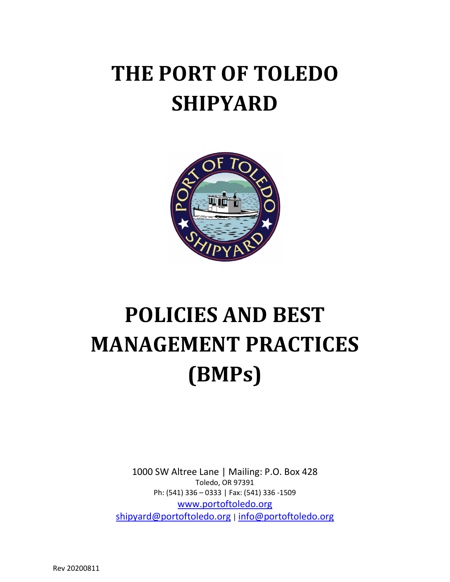# **THE PORT OF TOLEDO SHIPYARD**



# **POLICIES AND BEST MANAGEMENT PRACTICES (BMPs)**

1000 SW Altree Lane | Mailing: P.O. Box 428 Toledo, OR 97391 Ph: (541) 336 – 0333 | Fax: (541) 336 -1509 [www.portoftoledo.org](http://www.portoftoledo.org/) [shipyard@portoftoledo.org](mailto:shipyard@portoftoledo.org) | [info@portoftoledo.org](mailto:info@portoftoledo.org)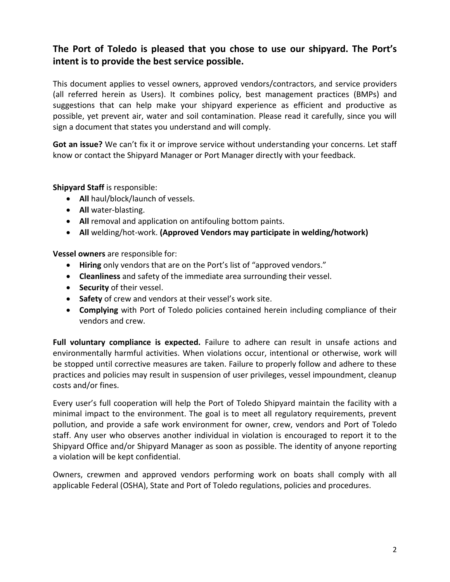# **The Port of Toledo is pleased that you chose to use our shipyard. The Port's intent is to provide the best service possible.**

This document applies to vessel owners, approved vendors/contractors, and service providers (all referred herein as Users). It combines policy, best management practices (BMPs) and suggestions that can help make your shipyard experience as efficient and productive as possible, yet prevent air, water and soil contamination. Please read it carefully, since you will sign a document that states you understand and will comply.

**Got an issue?** We can't fix it or improve service without understanding your concerns. Let staff know or contact the Shipyard Manager or Port Manager directly with your feedback.

#### **Shipyard Staff** is responsible:

- **All** haul/block/launch of vessels.
- **All** water-blasting.
- **All** removal and application on antifouling bottom paints.
- **All** welding/hot-work. **(Approved Vendors may participate in welding/hotwork)**

**Vessel owners** are responsible for:

- **Hiring** only vendors that are on the Port's list of "approved vendors."
- **Cleanliness** and safety of the immediate area surrounding their vessel.
- **Security** of their vessel.
- **Safety** of crew and vendors at their vessel's work site.
- **Complying** with Port of Toledo policies contained herein including compliance of their vendors and crew.

**Full voluntary compliance is expected.** Failure to adhere can result in unsafe actions and environmentally harmful activities. When violations occur, intentional or otherwise, work will be stopped until corrective measures are taken. Failure to properly follow and adhere to these practices and policies may result in suspension of user privileges, vessel impoundment, cleanup costs and/or fines.

Every user's full cooperation will help the Port of Toledo Shipyard maintain the facility with a minimal impact to the environment. The goal is to meet all regulatory requirements, prevent pollution, and provide a safe work environment for owner, crew, vendors and Port of Toledo staff. Any user who observes another individual in violation is encouraged to report it to the Shipyard Office and/or Shipyard Manager as soon as possible. The identity of anyone reporting a violation will be kept confidential.

Owners, crewmen and approved vendors performing work on boats shall comply with all applicable Federal (OSHA), State and Port of Toledo regulations, policies and procedures.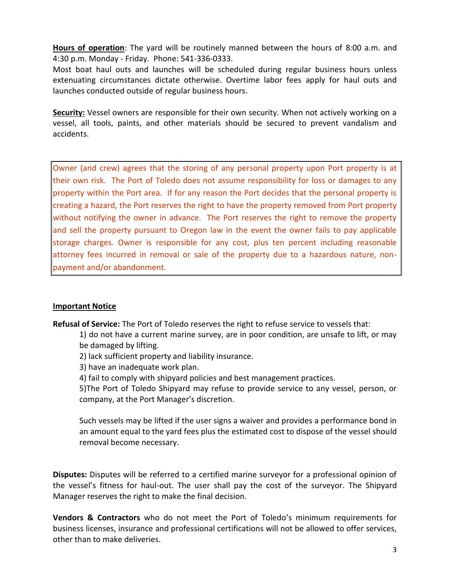**Hours of operation**: The yard will be routinely manned between the hours of 8:00 a.m. and 4:30 p.m. Monday - Friday. Phone: 541-336-0333.

Most boat haul outs and launches will be scheduled during regular business hours unless extenuating circumstances dictate otherwise. Overtime labor fees apply for haul outs and launches conducted outside of regular business hours.

**Security:** Vessel owners are responsible for their own security. When not actively working on a vessel, all tools, paints, and other materials should be secured to prevent vandalism and accidents.

Owner (and crew) agrees that the storing of any personal property upon Port property is at their own risk. The Port of Toledo does not assume responsibility for loss or damages to any property within the Port area. If for any reason the Port decides that the personal property is creating a hazard, the Port reserves the right to have the property removed from Port property without notifying the owner in advance. The Port reserves the right to remove the property and sell the property pursuant to Oregon law in the event the owner fails to pay applicable storage charges. Owner is responsible for any cost, plus ten percent including reasonable attorney fees incurred in removal or sale of the property due to a hazardous nature, nonpayment and/or abandonment.

#### **Important Notice**

**Refusal of Service:** The Port of Toledo reserves the right to refuse service to vessels that:

1) do not have a current marine survey, are in poor condition, are unsafe to lift, or may be damaged by lifting.

2) lack sufficient property and liability insurance.

3) have an inadequate work plan.

4) fail to comply with shipyard policies and best management practices.

5)The Port of Toledo Shipyard may refuse to provide service to any vessel, person, or company, at the Port Manager's discretion.

Such vessels may be lifted if the user signs a waiver and provides a performance bond in an amount equal to the yard fees plus the estimated cost to dispose of the vessel should removal become necessary.

**Disputes:** Disputes will be referred to a certified marine surveyor for a professional opinion of the vessel's fitness for haul-out. The user shall pay the cost of the surveyor. The Shipyard Manager reserves the right to make the final decision.

**Vendors & Contractors** who do not meet the Port of Toledo's minimum requirements for business licenses, insurance and professional certifications will not be allowed to offer services, other than to make deliveries.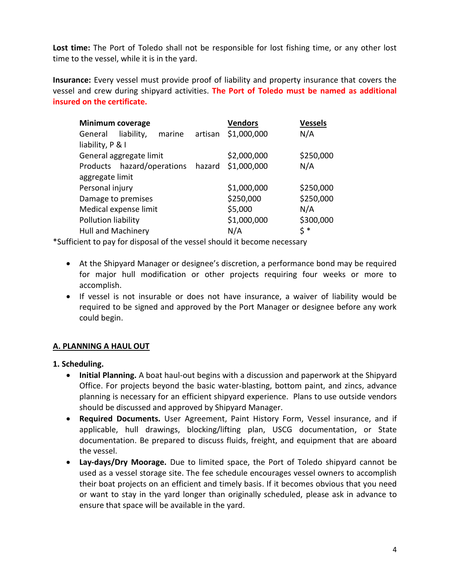Lost time: The Port of Toledo shall not be responsible for lost fishing time, or any other lost time to the vessel, while it is in the yard.

**Insurance:** Every vessel must provide proof of liability and property insurance that covers the vessel and crew during shipyard activities. **The Port of Toledo must be named as additional insured on the certificate.**

| <b>Minimum coverage</b>   |                                   |        |         | <b>Vendors</b> | <b>Vessels</b> |  |
|---------------------------|-----------------------------------|--------|---------|----------------|----------------|--|
| General                   | liability,                        | marine | artisan | \$1,000,000    | N/A            |  |
| liability, P & I          |                                   |        |         |                |                |  |
| General aggregate limit   |                                   |        |         | \$2,000,000    | \$250,000      |  |
|                           | Products hazard/operations hazard |        |         | \$1,000,000    | N/A            |  |
| aggregate limit           |                                   |        |         |                |                |  |
| Personal injury           |                                   |        |         | \$1,000,000    | \$250,000      |  |
| Damage to premises        |                                   |        |         | \$250,000      | \$250,000      |  |
| Medical expense limit     |                                   |        |         | \$5,000        | N/A            |  |
| Pollution liability       |                                   |        |         | \$1,000,000    | \$300,000      |  |
| <b>Hull and Machinery</b> |                                   |        |         | N/A            | \$ *           |  |

\*Sufficient to pay for disposal of the vessel should it become necessary

- At the Shipyard Manager or designee's discretion, a performance bond may be required for major hull modification or other projects requiring four weeks or more to accomplish.
- If vessel is not insurable or does not have insurance, a waiver of liability would be required to be signed and approved by the Port Manager or designee before any work could begin.

# **A. PLANNING A HAUL OUT**

**1. Scheduling.** 

- **Initial Planning.** A boat haul-out begins with a discussion and paperwork at the Shipyard Office. For projects beyond the basic water-blasting, bottom paint, and zincs, advance planning is necessary for an efficient shipyard experience. Plans to use outside vendors should be discussed and approved by Shipyard Manager.
- **Required Documents.** User Agreement, Paint History Form, Vessel insurance, and if applicable, hull drawings, blocking/lifting plan, USCG documentation, or State documentation. Be prepared to discuss fluids, freight, and equipment that are aboard the vessel.
- **Lay-days/Dry Moorage.** Due to limited space, the Port of Toledo shipyard cannot be used as a vessel storage site. The fee schedule encourages vessel owners to accomplish their boat projects on an efficient and timely basis. If it becomes obvious that you need or want to stay in the yard longer than originally scheduled, please ask in advance to ensure that space will be available in the yard.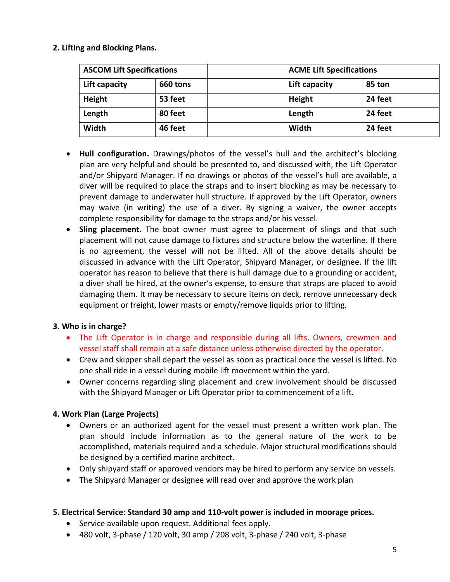#### **2. Lifting and Blocking Plans.**

| <b>ASCOM Lift Specifications</b> |          | <b>ACME Lift Specifications</b> |
|----------------------------------|----------|---------------------------------|
| Lift capacity                    | 660 tons | Lift capacity<br>85 ton         |
| Height                           | 53 feet  | 24 feet<br>Height               |
| Length                           | 80 feet  | 24 feet<br>Length               |
| Width                            | 46 feet  | Width<br>24 feet                |

- **Hull configuration.** Drawings/photos of the vessel's hull and the architect's blocking plan are very helpful and should be presented to, and discussed with, the Lift Operator and/or Shipyard Manager. If no drawings or photos of the vessel's hull are available, a diver will be required to place the straps and to insert blocking as may be necessary to prevent damage to underwater hull structure. If approved by the Lift Operator, owners may waive (in writing) the use of a diver. By signing a waiver, the owner accepts complete responsibility for damage to the straps and/or his vessel.
- **Sling placement.** The boat owner must agree to placement of slings and that such placement will not cause damage to fixtures and structure below the waterline. If there is no agreement, the vessel will not be lifted. All of the above details should be discussed in advance with the Lift Operator, Shipyard Manager, or designee. If the lift operator has reason to believe that there is hull damage due to a grounding or accident, a diver shall be hired, at the owner's expense, to ensure that straps are placed to avoid damaging them. It may be necessary to secure items on deck, remove unnecessary deck equipment or freight, lower masts or empty/remove liquids prior to lifting.

#### **3. Who is in charge?**

- The Lift Operator is in charge and responsible during all lifts. Owners, crewmen and vessel staff shall remain at a safe distance unless otherwise directed by the operator.
- Crew and skipper shall depart the vessel as soon as practical once the vessel is lifted. No one shall ride in a vessel during mobile lift movement within the yard.
- Owner concerns regarding sling placement and crew involvement should be discussed with the Shipyard Manager or Lift Operator prior to commencement of a lift.

#### **4. Work Plan (Large Projects)**

- Owners or an authorized agent for the vessel must present a written work plan. The plan should include information as to the general nature of the work to be accomplished, materials required and a schedule. Major structural modifications should be designed by a certified marine architect.
- Only shipyard staff or approved vendors may be hired to perform any service on vessels.
- The Shipyard Manager or designee will read over and approve the work plan

#### **5. Electrical Service: Standard 30 amp and 110-volt power is included in moorage prices.**

- Service available upon request. Additional fees apply.
- 480 volt, 3-phase / 120 volt, 30 amp / 208 volt, 3-phase / 240 volt, 3-phase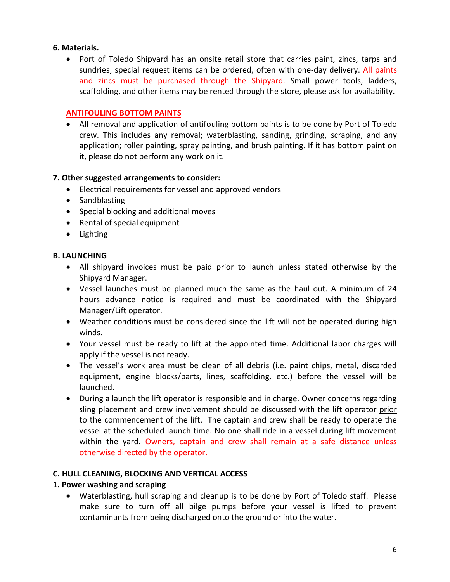#### **6. Materials.**

• Port of Toledo Shipyard has an onsite retail store that carries paint, zincs, tarps and sundries; special request items can be ordered, often with one-day delivery. All paints and zincs must be purchased through the Shipyard. Small power tools, ladders, scaffolding, and other items may be rented through the store, please ask for availability.

#### **ANTIFOULING BOTTOM PAINTS**

• All removal and application of antifouling bottom paints is to be done by Port of Toledo crew. This includes any removal; waterblasting, sanding, grinding, scraping, and any application; roller painting, spray painting, and brush painting. If it has bottom paint on it, please do not perform any work on it.

## **7. Other suggested arrangements to consider:**

- Electrical requirements for vessel and approved vendors
- Sandblasting
- Special blocking and additional moves
- Rental of special equipment
- Lighting

#### **B. LAUNCHING**

- All shipyard invoices must be paid prior to launch unless stated otherwise by the Shipyard Manager.
- Vessel launches must be planned much the same as the haul out. A minimum of 24 hours advance notice is required and must be coordinated with the Shipyard Manager/Lift operator.
- Weather conditions must be considered since the lift will not be operated during high winds.
- Your vessel must be ready to lift at the appointed time. Additional labor charges will apply if the vessel is not ready.
- The vessel's work area must be clean of all debris (i.e. paint chips, metal, discarded equipment, engine blocks/parts, lines, scaffolding, etc.) before the vessel will be launched.
- During a launch the lift operator is responsible and in charge. Owner concerns regarding sling placement and crew involvement should be discussed with the lift operator prior to the commencement of the lift. The captain and crew shall be ready to operate the vessel at the scheduled launch time. No one shall ride in a vessel during lift movement within the yard. Owners, captain and crew shall remain at a safe distance unless otherwise directed by the operator.

#### **C. HULL CLEANING, BLOCKING AND VERTICAL ACCESS**

#### **1. Power washing and scraping**

• Waterblasting, hull scraping and cleanup is to be done by Port of Toledo staff. Please make sure to turn off all bilge pumps before your vessel is lifted to prevent contaminants from being discharged onto the ground or into the water.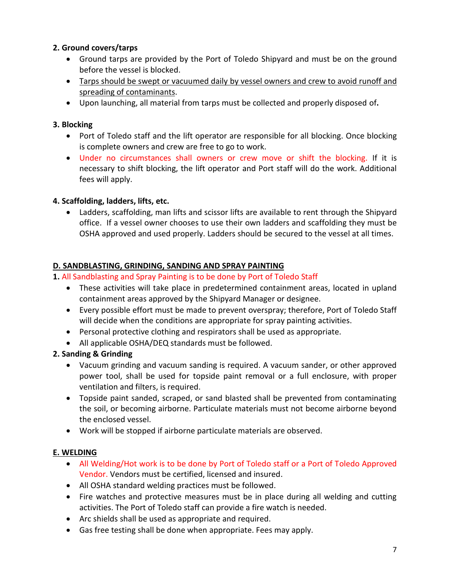# **2. Ground covers/tarps**

- Ground tarps are provided by the Port of Toledo Shipyard and must be on the ground before the vessel is blocked.
- Tarps should be swept or vacuumed daily by vessel owners and crew to avoid runoff and spreading of contaminants.
- Upon launching, all material from tarps must be collected and properly disposed of**.**

## **3. Blocking**

- Port of Toledo staff and the lift operator are responsible for all blocking. Once blocking is complete owners and crew are free to go to work.
- Under no circumstances shall owners or crew move or shift the blocking. If it is necessary to shift blocking, the lift operator and Port staff will do the work. Additional fees will apply.

# **4. Scaffolding, ladders, lifts, etc.**

• Ladders, scaffolding, man lifts and scissor lifts are available to rent through the Shipyard office. If a vessel owner chooses to use their own ladders and scaffolding they must be OSHA approved and used properly. Ladders should be secured to the vessel at all times.

#### **D. SANDBLASTING, GRINDING, SANDING AND SPRAY PAINTING**

## **1.** All Sandblasting and Spray Painting is to be done by Port of Toledo Staff

- These activities will take place in predetermined containment areas, located in upland containment areas approved by the Shipyard Manager or designee.
- Every possible effort must be made to prevent overspray; therefore, Port of Toledo Staff will decide when the conditions are appropriate for spray painting activities.
- Personal protective clothing and respirators shall be used as appropriate.
- All applicable OSHA/DEQ standards must be followed.

# **2. Sanding & Grinding**

- Vacuum grinding and vacuum sanding is required. A vacuum sander, or other approved power tool, shall be used for topside paint removal or a full enclosure, with proper ventilation and filters, is required.
- Topside paint sanded, scraped, or sand blasted shall be prevented from contaminating the soil, or becoming airborne. Particulate materials must not become airborne beyond the enclosed vessel.
- Work will be stopped if airborne particulate materials are observed.

# **E. WELDING**

- All Welding/Hot work is to be done by Port of Toledo staff or a Port of Toledo Approved Vendor. Vendors must be certified, licensed and insured.
- All OSHA standard welding practices must be followed.
- Fire watches and protective measures must be in place during all welding and cutting activities. The Port of Toledo staff can provide a fire watch is needed.
- Arc shields shall be used as appropriate and required.
- Gas free testing shall be done when appropriate. Fees may apply.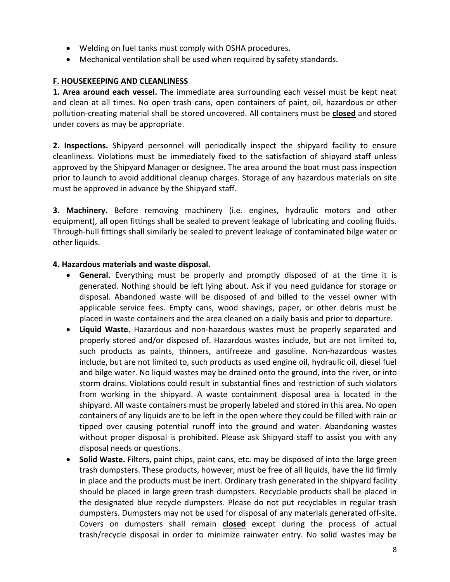- Welding on fuel tanks must comply with OSHA procedures.
- Mechanical ventilation shall be used when required by safety standards.

#### **F. HOUSEKEEPING AND CLEANLINESS**

**1. Area around each vessel.** The immediate area surrounding each vessel must be kept neat and clean at all times. No open trash cans, open containers of paint, oil, hazardous or other pollution-creating material shall be stored uncovered. All containers must be **closed** and stored under covers as may be appropriate.

**2. Inspections.** Shipyard personnel will periodically inspect the shipyard facility to ensure cleanliness. Violations must be immediately fixed to the satisfaction of shipyard staff unless approved by the Shipyard Manager or designee. The area around the boat must pass inspection prior to launch to avoid additional cleanup charges. Storage of any hazardous materials on site must be approved in advance by the Shipyard staff.

**3. Machinery.** Before removing machinery (i.e. engines, hydraulic motors and other equipment), all open fittings shall be sealed to prevent leakage of lubricating and cooling fluids. Through-hull fittings shall similarly be sealed to prevent leakage of contaminated bilge water or other liquids.

#### **4. Hazardous materials and waste disposal.**

- **General.** Everything must be properly and promptly disposed of at the time it is generated. Nothing should be left lying about. Ask if you need guidance for storage or disposal. Abandoned waste will be disposed of and billed to the vessel owner with applicable service fees. Empty cans, wood shavings, paper, or other debris must be placed in waste containers and the area cleaned on a daily basis and prior to departure.
- **Liquid Waste.** Hazardous and non-hazardous wastes must be properly separated and properly stored and/or disposed of. Hazardous wastes include, but are not limited to, such products as paints, thinners, antifreeze and gasoline. Non-hazardous wastes include, but are not limited to, such products as used engine oil, hydraulic oil, diesel fuel and bilge water. No liquid wastes may be drained onto the ground, into the river, or into storm drains. Violations could result in substantial fines and restriction of such violators from working in the shipyard. A waste containment disposal area is located in the shipyard. All waste containers must be properly labeled and stored in this area. No open containers of any liquids are to be left in the open where they could be filled with rain or tipped over causing potential runoff into the ground and water. Abandoning wastes without proper disposal is prohibited. Please ask Shipyard staff to assist you with any disposal needs or questions.
- **Solid Waste.** Filters, paint chips, paint cans, etc. may be disposed of into the large green trash dumpsters. These products, however, must be free of all liquids, have the lid firmly in place and the products must be inert. Ordinary trash generated in the shipyard facility should be placed in large green trash dumpsters. Recyclable products shall be placed in the designated blue recycle dumpsters. Please do not put recyclables in regular trash dumpsters. Dumpsters may not be used for disposal of any materials generated off-site. Covers on dumpsters shall remain **closed** except during the process of actual trash/recycle disposal in order to minimize rainwater entry. No solid wastes may be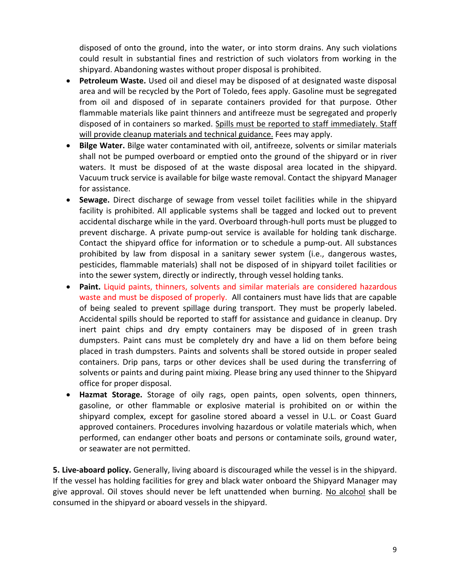disposed of onto the ground, into the water, or into storm drains. Any such violations could result in substantial fines and restriction of such violators from working in the shipyard. Abandoning wastes without proper disposal is prohibited.

- **Petroleum Waste.** Used oil and diesel may be disposed of at designated waste disposal area and will be recycled by the Port of Toledo, fees apply. Gasoline must be segregated from oil and disposed of in separate containers provided for that purpose. Other flammable materials like paint thinners and antifreeze must be segregated and properly disposed of in containers so marked. Spills must be reported to staff immediately. Staff will provide cleanup materials and technical guidance. Fees may apply.
- **Bilge Water.** Bilge water contaminated with oil, antifreeze, solvents or similar materials shall not be pumped overboard or emptied onto the ground of the shipyard or in river waters. It must be disposed of at the waste disposal area located in the shipyard. Vacuum truck service is available for bilge waste removal. Contact the shipyard Manager for assistance.
- **Sewage.** Direct discharge of sewage from vessel toilet facilities while in the shipyard facility is prohibited. All applicable systems shall be tagged and locked out to prevent accidental discharge while in the yard. Overboard through-hull ports must be plugged to prevent discharge. A private pump-out service is available for holding tank discharge. Contact the shipyard office for information or to schedule a pump-out. All substances prohibited by law from disposal in a sanitary sewer system (i.e., dangerous wastes, pesticides, flammable materials) shall not be disposed of in shipyard toilet facilities or into the sewer system, directly or indirectly, through vessel holding tanks.
- **Paint.** Liquid paints, thinners, solvents and similar materials are considered hazardous waste and must be disposed of properly.All containers must have lids that are capable of being sealed to prevent spillage during transport. They must be properly labeled. Accidental spills should be reported to staff for assistance and guidance in cleanup. Dry inert paint chips and dry empty containers may be disposed of in green trash dumpsters. Paint cans must be completely dry and have a lid on them before being placed in trash dumpsters. Paints and solvents shall be stored outside in proper sealed containers. Drip pans, tarps or other devices shall be used during the transferring of solvents or paints and during paint mixing. Please bring any used thinner to the Shipyard office for proper disposal.
- **Hazmat Storage.** Storage of oily rags, open paints, open solvents, open thinners, gasoline, or other flammable or explosive material is prohibited on or within the shipyard complex, except for gasoline stored aboard a vessel in U.L. or Coast Guard approved containers. Procedures involving hazardous or volatile materials which, when performed, can endanger other boats and persons or contaminate soils, ground water, or seawater are not permitted.

**5. Live-aboard policy.** Generally, living aboard is discouraged while the vessel is in the shipyard. If the vessel has holding facilities for grey and black water onboard the Shipyard Manager may give approval. Oil stoves should never be left unattended when burning. No alcohol shall be consumed in the shipyard or aboard vessels in the shipyard.